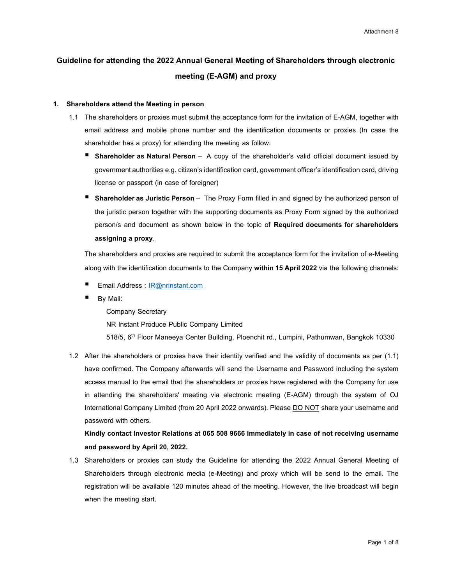# **Guideline for attending the 2022 Annual General Meeting of Shareholders through electronic meeting (E-AGM) and proxy**

#### **1. Shareholders attend the Meeting in person**

- 1.1 The shareholders or proxies must submit the acceptance form for the invitation of E-AGM, together with email address and mobile phone number and the identification documents or proxies (In case the shareholder has a proxy) for attending the meeting as follow:
	- **Shareholder as Natural Person** A copy of the shareholder's valid official document issued by government authorities e.g. citizen's identification card, government officer's identification card, driving license or passport (in case of foreigner)
	- **B** Shareholder as Juristic Person The Proxy Form filled in and signed by the authorized person of the juristic person together with the supporting documents as Proxy Form signed by the authorized person/s and document as shown below in the topic of **Required documents for shareholders assigning a proxy**.

The shareholders and proxies are required to submit the acceptance form for the invitation of e-Meeting along with the identification documents to the Company **within 15 April2022** via the following channels:

- Email Address : [IR@nrinstant.com](mailto:IR@nrinstant.com)
- By Mail:

Company Secretary

NR Instant Produce Public Company Limited

518/5, 6<sup>th</sup> Floor Maneeya Center Building, Ploenchit rd., Lumpini, Pathumwan, Bangkok 10330

1.2 After the shareholders or proxies have their identity verified and the validity of documents as per (1.1) have confirmed. The Company afterwards will send the Username and Password including the system access manual to the email that the shareholders or proxies have registered with the Company for use in attending the shareholders' meeting via electronic meeting (E-AGM) through the system of OJ International Company Limited (from 20 April 2022 onwards). Please DO NOT share your username and password with others.

**Kindly contact Investor Relations at 065 508 9666 immediately in case of not receiving username and password by April 20, 2022.**

1.3 Shareholders or proxies can study the Guideline for attending the 2022 Annual General Meeting of Shareholders through electronic media (e-Meeting) and proxy which will be send to the email. The registration will be available 120 minutes ahead of the meeting. However, the live broadcast will begin when the meeting start.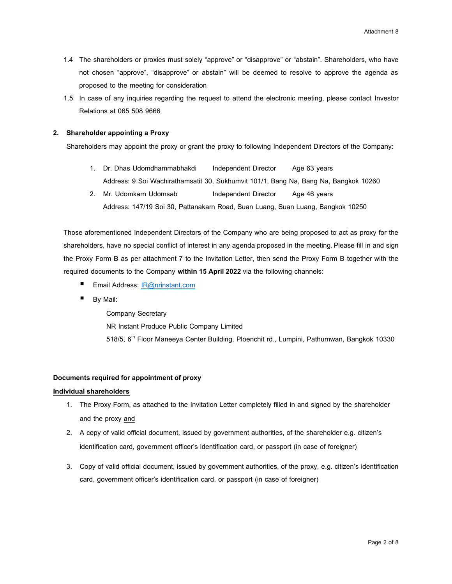- 1.4 The shareholders or proxies must solely "approve" or "disapprove" or "abstain". Shareholders, who have not chosen "approve", "disapprove" or abstain" will be deemed to resolve to approve the agenda as proposed to the meeting for consideration
- 1.5 In case of any inquiries regarding the request to attend the electronic meeting, please contact Investor Relations at 065 508 9666

# **2. Shareholder appointing a Proxy**

Shareholders may appoint the proxy or grant the proxy to following Independent Directors of the Company:

- 1. Dr. Dhas Udomdhammabhakdi Independent Director Age 63 years Address: 9 Soi Wachirathamsatit 30, Sukhumvit 101/1, Bang Na, Bang Na, Bangkok 10260
- 2. Mr. Udomkarn Udomsab Independent Director Age 46 years Address: 147/19 Soi 30, Pattanakarn Road, Suan Luang, Suan Luang, Bangkok 10250

Those aforementioned Independent Directors of the Company who are being proposed to act as proxy for the shareholders, have no special conflict of interest in any agenda proposed in the meeting. Please fill in and sign the Proxy Form B as per attachment 7 to the Invitation Letter, then send the Proxy Form B together with the required documents to the Company **within 15 April 2022** via the following channels:

- Email Address: [IR@nrinstant.com](mailto:IR@nrinstant.com)
- By Mail:

Company Secretary NR Instant Produce Public Company Limited 518/5, 6<sup>th</sup> Floor Maneeya Center Building, Ploenchit rd., Lumpini, Pathumwan, Bangkok 10330

# **Documents required for appointment of proxy**

### **Individual shareholders**

- 1. The Proxy Form, as attached to the Invitation Letter completely filled in and signed by the shareholder and the proxy and
- 2. A copy of valid official document, issued by government authorities, of the shareholder e.g. citizen's identification card, government officer's identification card, or passport (in case of foreigner)
- 3. Copy of valid official document, issued by government authorities, of the proxy, e.g. citizen's identification card, government officer's identification card, or passport (in case of foreigner)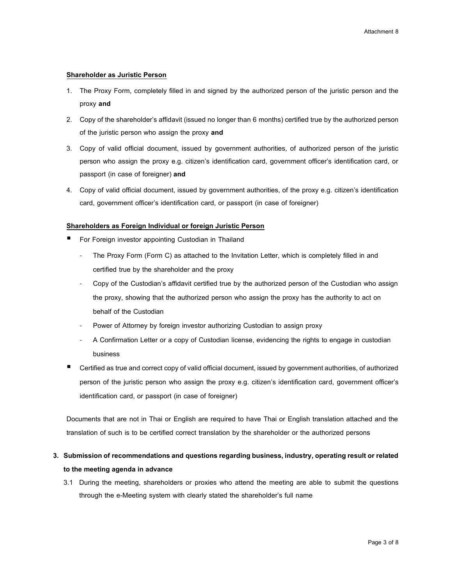### **Shareholder as Juristic Person**

- 1. The Proxy Form, completely filled in and signed by the authorized person of the juristic person and the proxy **and**
- 2. Copy of the shareholder's affidavit (issued no longer than 6 months) certified true by the authorized person of the juristic person who assign the proxy **and**
- 3. Copy of valid official document, issued by government authorities, of authorized person of the juristic person who assign the proxy e.g. citizen's identification card, government officer's identification card, or passport (in case of foreigner) **and**
- 4. Copy of valid official document, issued by government authorities, of the proxy e.g. citizen's identification card, government officer's identification card, or passport (in case of foreigner)

### **Shareholders as Foreign Individual or foreign Juristic Person**

- For Foreign investor appointing Custodian in Thailand
	- The Proxy Form (Form C) as attached to the Invitation Letter, which is completely filled in and certified true by the shareholder and the proxy
	- Copy of the Custodian's affidavit certified true by the authorized person of the Custodian who assign the proxy, showing that the authorized person who assign the proxy has the authority to act on behalf of the Custodian
	- Power of Attorney by foreign investor authorizing Custodian to assign proxy
	- A Confirmation Letter or a copy of Custodian license, evidencing the rights to engage in custodian business
- Certified as true and correct copy of valid official document, issued by government authorities, of authorized person of the juristic person who assign the proxy e.g. citizen's identification card, government officer's identification card, or passport (in case of foreigner)

Documents that are not in Thai or English are required to have Thai or English translation attached and the translation of such is to be certified correct translation by the shareholder or the authorized persons

# **3. Submission of recommendations and questions regarding business, industry, operating result or related to the meeting agenda in advance**

3.1 During the meeting, shareholders or proxies who attend the meeting are able to submit the questions through the e-Meeting system with clearly stated the shareholder's full name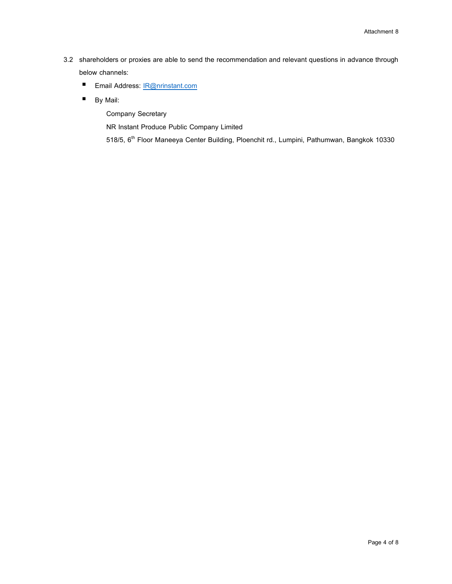- 3.2 shareholders or proxies are able to send the recommendation and relevant questions in advance through below channels:
	- Email Address: [IR@nrinstant.com](mailto:IR@nrinstant.com)
	- By Mail:

Company Secretary

NR Instant Produce Public Company Limited

518/5, 6<sup>th</sup> Floor Maneeya Center Building, Ploenchit rd., Lumpini, Pathumwan, Bangkok 10330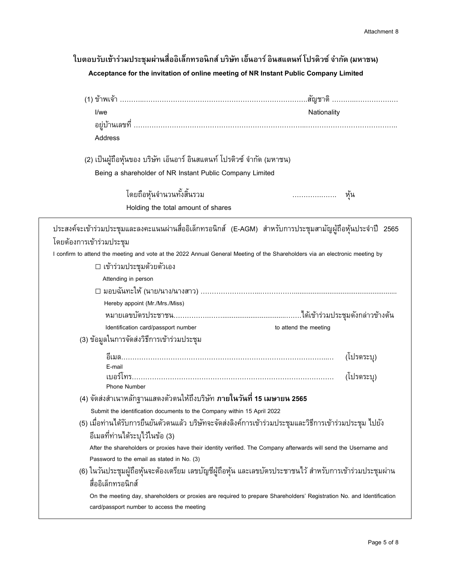# **ใบตอบรบัเขา้ร่วมประชุมผา่ นสื่ออิเลก็ทรอนิกส์บริษทั เอน็ อาร์อินสแตนท์โปรดิวซ์จา กดั (มหาชน) Acceptance for the invitation of online meeting of NR Instant Public Company Limited**

| I/we<br>Nationality<br>Address<br>(2) เป็นผู้ถือหุ้นของ บริษัท เอ็นอาร์ อินสแตนท์ โปรดิวซ์ จำกัด (มหาชน)<br>Being a shareholder of NR Instant Public Company Limited<br>โดยถือหุ้นจำนวนทั้งสิ้นรวม<br>หุ้น<br>Holding the total amount of shares<br>ประสงค์จะเข้าร่วมประชุมและลงคะแนนผ่านสื่ออิเล็กทรอนิกส์ (E-AGM) สำหรับการประชุมสามัญผู้ถือหุ้นประจำปี 2565<br>□ เข้าร่วมประชุมด้วยตัวเอง |
|----------------------------------------------------------------------------------------------------------------------------------------------------------------------------------------------------------------------------------------------------------------------------------------------------------------------------------------------------------------------------------------------|
|                                                                                                                                                                                                                                                                                                                                                                                              |
|                                                                                                                                                                                                                                                                                                                                                                                              |
|                                                                                                                                                                                                                                                                                                                                                                                              |
|                                                                                                                                                                                                                                                                                                                                                                                              |
|                                                                                                                                                                                                                                                                                                                                                                                              |
|                                                                                                                                                                                                                                                                                                                                                                                              |
|                                                                                                                                                                                                                                                                                                                                                                                              |
| โดยต้องการเข้าร่วมประชุม<br>I confirm to attend the meeting and vote at the 2022 Annual General Meeting of the Shareholders via an electronic meeting by                                                                                                                                                                                                                                     |
|                                                                                                                                                                                                                                                                                                                                                                                              |
|                                                                                                                                                                                                                                                                                                                                                                                              |
|                                                                                                                                                                                                                                                                                                                                                                                              |
| Attending in person                                                                                                                                                                                                                                                                                                                                                                          |
| ่ □ มอบฉันทะให้ (นาย/นาง/นางสาว) …………………………………………………………………………………………                                                                                                                                                                                                                                                                                                                          |
| Hereby appoint (Mr./Mrs./Miss)                                                                                                                                                                                                                                                                                                                                                               |
|                                                                                                                                                                                                                                                                                                                                                                                              |
| Identification card/passport number<br>to attend the meeting                                                                                                                                                                                                                                                                                                                                 |
| (3) ข้อมูลในการจัดส่งวิธีการเข้าร่วมประชุม                                                                                                                                                                                                                                                                                                                                                   |
| (โปรดระบุ)                                                                                                                                                                                                                                                                                                                                                                                   |
| E-mail                                                                                                                                                                                                                                                                                                                                                                                       |
| (โปรดระบุ)<br>Phone Number                                                                                                                                                                                                                                                                                                                                                                   |
| (4) จัดส่งสำเนาหลักฐานแสดงตัวตนให้ถึงบริษัท ภายในวันที่ 15 เมษายน 2565                                                                                                                                                                                                                                                                                                                       |
| Submit the identification documents to the Company within 15 April 2022                                                                                                                                                                                                                                                                                                                      |
| (5) เมื่อท่านได้รับการยืนยันตัวตนแล้ว บริษัทจะจัดส่งลิงค์การเข้าร่วมประชุมและวิธีการเข้าร่วมประชุม ไปยัง                                                                                                                                                                                                                                                                                     |
| อีเมลที่ท่านได้ระบุไว้ในข้อ (3)                                                                                                                                                                                                                                                                                                                                                              |
| After the shareholders or proxies have their identity verified. The Company afterwards will send the Username and                                                                                                                                                                                                                                                                            |
| Password to the email as stated in No. (3)                                                                                                                                                                                                                                                                                                                                                   |
| (6) ในวันประชุมผู้ถือหุ้นจะต้องเตรียม เลขบัญชีผู้ถือหุ้น และเลขบัตรประชาชนไว้ สำหรับการเข้าร่วมประชุมผ่าน                                                                                                                                                                                                                                                                                    |
| สื่ออิเล็กทรอนิกส์                                                                                                                                                                                                                                                                                                                                                                           |
| On the meeting day, shareholders or proxies are required to prepare Shareholders' Registration No. and Identification                                                                                                                                                                                                                                                                        |
| card/passport number to access the meeting                                                                                                                                                                                                                                                                                                                                                   |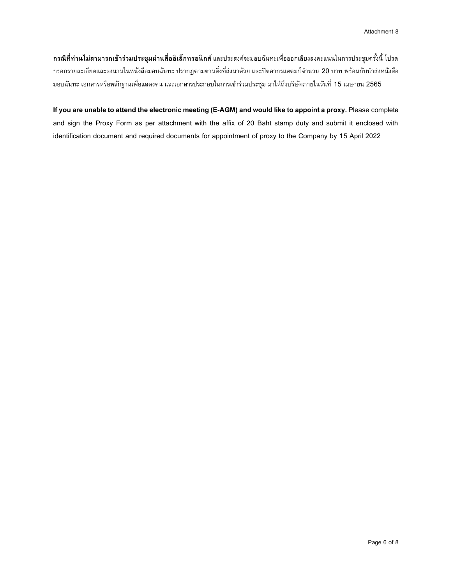**กรณีที่ท่านไม่สามารถเข้าร่วมประชุมผ่านสื่ออิเลก็ทรอนิกส์**และประสงค์จะมอบฉันทะเพื่อออกเสียงลงคะแนนในการประชุมครั้งนี้ โปรด ึกรอกรายละเอียดและลงนามในหนังสือมอบฉันทะ ปรากฏตามตามสิ่งที่ส่งมาด้วย และปิดอากรแสตมป์จำนวน 20 บาท พร้อมกับนำส่งหนังสือ มอบฉันทะ เอกสารหรือหลักฐานเพื่อแสดงตน และเอกสารประกอบในการเข้าร่วมประชุม มาให้ถึงบริษัทภายในวันที่ 15 เมษายน 2565

**If you are unable to attend the electronic meeting (E-AGM) and would like to appoint a proxy.** Please complete and sign the Proxy Form as per attachment with the affix of 20 Baht stamp duty and submit it enclosed with identification document and required documents for appointment of proxy to the Company by 15 April 2022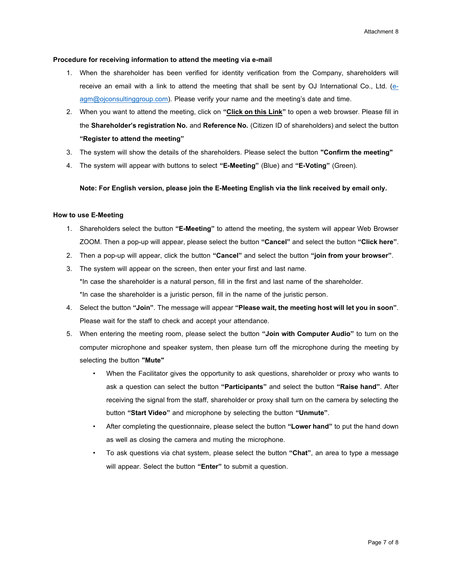#### **Procedure for receiving information to attend the meeting via e-mail**

- 1. When the shareholder has been verified for identity verification from the Company, shareholders will receive an email with a link to attend the meeting that shall be sent by OJ International Co., Ltd. [\(e](mailto:e-agm@ojconsultinggroup.com)[agm@ojconsultinggroup.com\)](mailto:e-agm@ojconsultinggroup.com). Please verify your name and the meeting's date and time.
- 2. When you want to attend the meeting, click on **"Click on this Link"** to open a web browser. Please fill in the **Shareholder's registration No.** and **Reference No.** (Citizen ID of shareholders) and select the button **"Register to attend the meeting"**
- 3. The system will show the details of the shareholders. Please select the button **"Confirm the meeting"**
- 4. The system will appear with buttons to select **"E-Meeting"** (Blue) and **"E-Voting"** (Green).

### **Note: For English version, please join the E-Meeting English via the link received by email only.**

### **How to use E-Meeting**

- 1. Shareholders select the button **"E-Meeting"** to attend the meeting, the system will appear Web Browser ZOOM. Then a pop-up will appear, please select the button **"Cancel"** and select the button **"Click here"**.
- 2. Then a pop-up will appear, click the button **"Cancel"** and select the button **"join from your browser"**.
- 3. The system will appear on the screen, then enter your first and last name.

\*In case the shareholder is a natural person, fill in the first and last name of the shareholder.

\*In case the shareholder is a juristic person, fill in the name of the juristic person. 4. Select the button **"Join"**. The message will appear **"Please wait, the meeting host will let you in soon"**.

Please wait for the staff to check and accept your attendance.

- 5. When entering the meeting room, please select the button **"Join with Computer Audio"** to turn on the computer microphone and speaker system, then please turn off the microphone during the meeting by selecting the button **"Mute"**
	- When the Facilitator gives the opportunity to ask questions, shareholder or proxy who wants to ask a question can select the button **"Participants"** and select the button **"Raise hand"**. After receiving the signal from the staff, shareholder or proxy shall turn on the camera by selecting the button **"Start Video"** and microphone by selecting the button **"Unmute"**.
	- After completing the questionnaire, please select the button **"Lower hand"** to put the hand down as well as closing the camera and muting the microphone.
	- To ask questions via chat system, please select the button **"Chat"**, an area to type a message will appear. Select the button **"Enter"** to submit a question.